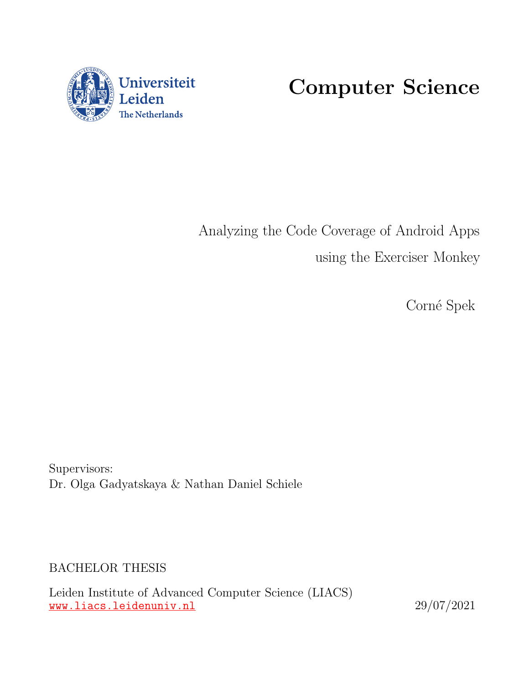

Computer Science

Analyzing the Code Coverage of Android Apps using the Exerciser Monkey

Corné Spek

Supervisors: Dr. Olga Gadyatskaya & Nathan Daniel Schiele

BACHELOR THESIS

Leiden Institute of Advanced Computer Science (LIACS) <www.liacs.leidenuniv.nl> 29/07/2021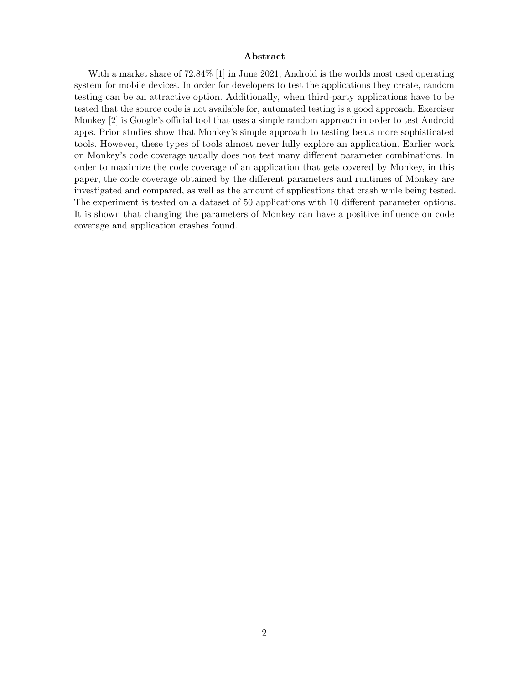#### Abstract

With a market share of 72.84% [\[1\]](#page-24-0) in June 2021, Android is the worlds most used operating system for mobile devices. In order for developers to test the applications they create, random testing can be an attractive option. Additionally, when third-party applications have to be tested that the source code is not available for, automated testing is a good approach. Exerciser Monkey [\[2\]](#page-24-1) is Google's official tool that uses a simple random approach in order to test Android apps. Prior studies show that Monkey's simple approach to testing beats more sophisticated tools. However, these types of tools almost never fully explore an application. Earlier work on Monkey's code coverage usually does not test many different parameter combinations. In order to maximize the code coverage of an application that gets covered by Monkey, in this paper, the code coverage obtained by the different parameters and runtimes of Monkey are investigated and compared, as well as the amount of applications that crash while being tested. The experiment is tested on a dataset of 50 applications with 10 different parameter options. It is shown that changing the parameters of Monkey can have a positive influence on code coverage and application crashes found.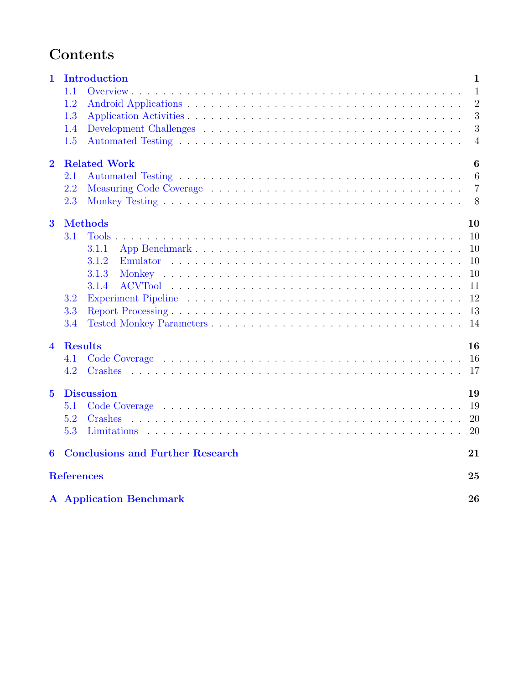# Contents

| $\mathbf{1}$            | Introduction                            | $\mathbf{1}$   |
|-------------------------|-----------------------------------------|----------------|
|                         | 1.1                                     | $\mathbf{1}$   |
|                         | 1.2                                     | $\overline{2}$ |
|                         | 1.3                                     | 3              |
|                         | 1.4                                     | 3              |
|                         | 1.5                                     | $\overline{4}$ |
| $\overline{2}$          | <b>Related Work</b>                     | 6              |
|                         | 2.1                                     | 6              |
|                         | 2.2                                     | $\overline{7}$ |
|                         | 2.3                                     | 8              |
| $\overline{\mathbf{3}}$ | <b>Methods</b>                          | 10             |
|                         | 3.1                                     | 10             |
|                         | 3.1.1                                   | 10             |
|                         | 3.1.2                                   | 10             |
|                         | 3.1.3                                   | 10             |
|                         | 3.1.4                                   | 11             |
|                         | 3.2                                     | 12             |
|                         | 3.3                                     | 13             |
|                         | 3.4                                     | 14             |
| $\overline{\mathbf{4}}$ | <b>Results</b>                          | 16             |
|                         | 4.1                                     | <sup>16</sup>  |
|                         | 4.2<br>Crashes                          | 17             |
| $\overline{5}$          | <b>Discussion</b>                       | 19             |
|                         | 5.1                                     | 19             |
|                         | 5.2<br>Crashes                          | 20             |
|                         | 5.3                                     | 20             |
| 6                       | <b>Conclusions and Further Research</b> | 21             |
|                         | <b>References</b>                       | 25             |
|                         | <b>A</b> Application Benchmark          | 26             |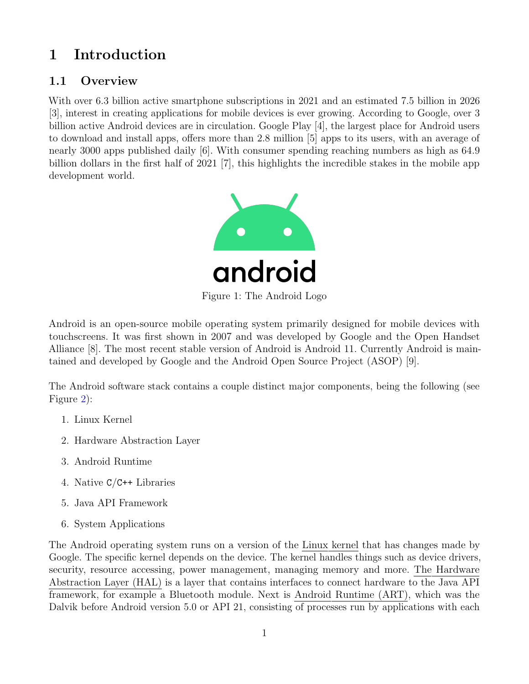# <span id="page-3-0"></span>1 Introduction

## <span id="page-3-1"></span>1.1 Overview

With over 6.3 billion active smartphone subscriptions in 2021 and an estimated 7.5 billion in 2026 [\[3\]](#page-24-3), interest in creating applications for mobile devices is ever growing. According to Google, over 3 billion active Android devices are in circulation. Google Play [\[4\]](#page-24-4), the largest place for Android users to download and install apps, offers more than 2.8 million [\[5\]](#page-24-5) apps to its users, with an average of nearly 3000 apps published daily [\[6\]](#page-24-6). With consumer spending reaching numbers as high as 64.9 billion dollars in the first half of 2021 [\[7\]](#page-24-7), this highlights the incredible stakes in the mobile app development world.



Android is an open-source mobile operating system primarily designed for mobile devices with touchscreens. It was first shown in 2007 and was developed by Google and the Open Handset Alliance [\[8\]](#page-24-8). The most recent stable version of Android is Android 11. Currently Android is maintained and developed by Google and the Android Open Source Project (ASOP) [\[9\]](#page-24-9).

The Android software stack contains a couple distinct major components, being the following (see Figure [2\)](#page-4-1):

- 1. Linux Kernel
- 2. Hardware Abstraction Layer
- 3. Android Runtime
- 4. Native C/C++ Libraries
- 5. Java API Framework
- 6. System Applications

The Android operating system runs on a version of the Linux kernel that has changes made by Google. The specific kernel depends on the device. The kernel handles things such as device drivers, security, resource accessing, power management, managing memory and more. The Hardware Abstraction Layer (HAL) is a layer that contains interfaces to connect hardware to the Java API framework, for example a Bluetooth module. Next is Android Runtime (ART), which was the Dalvik before Android version 5.0 or API 21, consisting of processes run by applications with each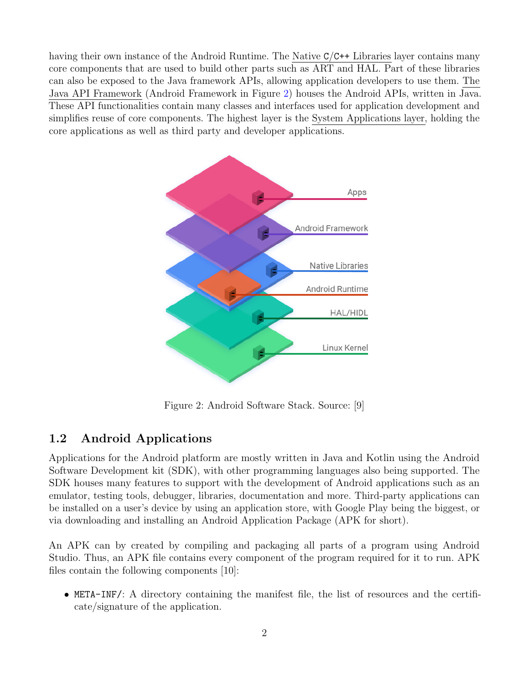<span id="page-4-1"></span>having their own instance of the Android Runtime. The Native C/C++ Libraries layer contains many core components that are used to build other parts such as ART and HAL. Part of these libraries can also be exposed to the Java framework APIs, allowing application developers to use them. The Java API Framework (Android Framework in Figure [2\)](#page-4-1) houses the Android APIs, written in Java. These API functionalities contain many classes and interfaces used for application development and simplifies reuse of core components. The highest layer is the System Applications layer, holding the core applications as well as third party and developer applications.



Figure 2: Android Software Stack. Source: [\[9\]](#page-24-9)

### <span id="page-4-0"></span>1.2 Android Applications

Applications for the Android platform are mostly written in Java and Kotlin using the Android Software Development kit (SDK), with other programming languages also being supported. The SDK houses many features to support with the development of Android applications such as an emulator, testing tools, debugger, libraries, documentation and more. Third-party applications can be installed on a user's device by using an application store, with Google Play being the biggest, or via downloading and installing an Android Application Package (APK for short).

An APK can by created by compiling and packaging all parts of a program using Android Studio. Thus, an APK file contains every component of the program required for it to run. APK files contain the following components [\[10\]](#page-24-10):

• META-INF/: A directory containing the manifest file, the list of resources and the certificate/signature of the application.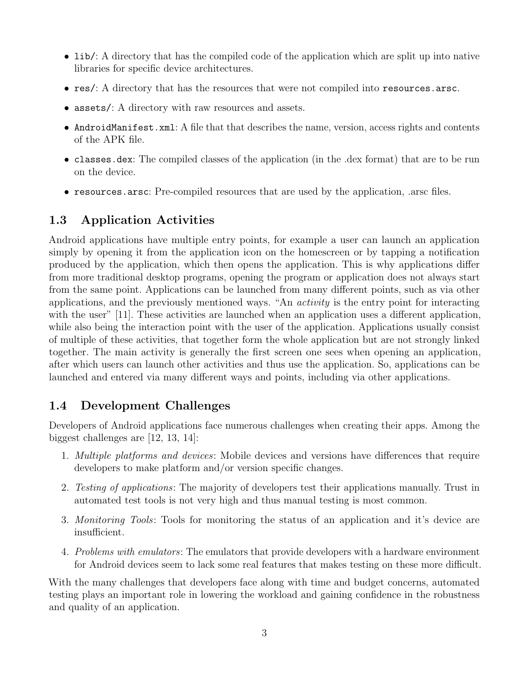- lib/: A directory that has the compiled code of the application which are split up into native libraries for specific device architectures.
- res/: A directory that has the resources that were not compiled into resources.arsc.
- assets/: A directory with raw resources and assets.
- AndroidManifest.xml: A file that that describes the name, version, access rights and contents of the APK file.
- classes.dex: The compiled classes of the application (in the .dex format) that are to be run on the device.
- resources.arsc: Pre-compiled resources that are used by the application, .arsc files.

## <span id="page-5-0"></span>1.3 Application Activities

Android applications have multiple entry points, for example a user can launch an application simply by opening it from the application icon on the homescreen or by tapping a notification produced by the application, which then opens the application. This is why applications differ from more traditional desktop programs, opening the program or application does not always start from the same point. Applications can be launched from many different points, such as via other applications, and the previously mentioned ways. "An activity is the entry point for interacting with the user" [\[11\]](#page-24-11). These activities are launched when an application uses a different application, while also being the interaction point with the user of the application. Applications usually consist of multiple of these activities, that together form the whole application but are not strongly linked together. The main activity is generally the first screen one sees when opening an application, after which users can launch other activities and thus use the application. So, applications can be launched and entered via many different ways and points, including via other applications.

## <span id="page-5-1"></span>1.4 Development Challenges

Developers of Android applications face numerous challenges when creating their apps. Among the biggest challenges are [\[12,](#page-24-12) [13,](#page-24-13) [14\]](#page-24-14):

- 1. Multiple platforms and devices: Mobile devices and versions have differences that require developers to make platform and/or version specific changes.
- 2. Testing of applications: The majority of developers test their applications manually. Trust in automated test tools is not very high and thus manual testing is most common.
- 3. Monitoring Tools: Tools for monitoring the status of an application and it's device are insufficient.
- 4. Problems with emulators: The emulators that provide developers with a hardware environment for Android devices seem to lack some real features that makes testing on these more difficult.

With the many challenges that developers face along with time and budget concerns, automated testing plays an important role in lowering the workload and gaining confidence in the robustness and quality of an application.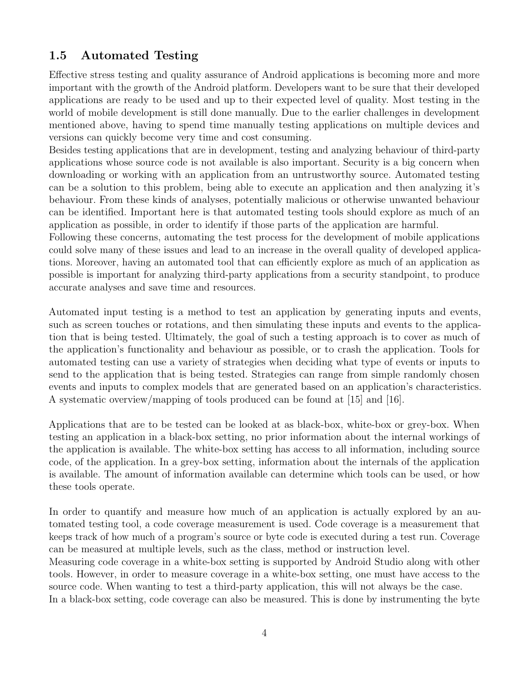### <span id="page-6-0"></span>1.5 Automated Testing

Effective stress testing and quality assurance of Android applications is becoming more and more important with the growth of the Android platform. Developers want to be sure that their developed applications are ready to be used and up to their expected level of quality. Most testing in the world of mobile development is still done manually. Due to the earlier challenges in development mentioned above, having to spend time manually testing applications on multiple devices and versions can quickly become very time and cost consuming.

Besides testing applications that are in development, testing and analyzing behaviour of third-party applications whose source code is not available is also important. Security is a big concern when downloading or working with an application from an untrustworthy source. Automated testing can be a solution to this problem, being able to execute an application and then analyzing it's behaviour. From these kinds of analyses, potentially malicious or otherwise unwanted behaviour can be identified. Important here is that automated testing tools should explore as much of an application as possible, in order to identify if those parts of the application are harmful.

Following these concerns, automating the test process for the development of mobile applications could solve many of these issues and lead to an increase in the overall quality of developed applications. Moreover, having an automated tool that can efficiently explore as much of an application as possible is important for analyzing third-party applications from a security standpoint, to produce accurate analyses and save time and resources.

Automated input testing is a method to test an application by generating inputs and events, such as screen touches or rotations, and then simulating these inputs and events to the application that is being tested. Ultimately, the goal of such a testing approach is to cover as much of the application's functionality and behaviour as possible, or to crash the application. Tools for automated testing can use a variety of strategies when deciding what type of events or inputs to send to the application that is being tested. Strategies can range from simple randomly chosen events and inputs to complex models that are generated based on an application's characteristics. A systematic overview/mapping of tools produced can be found at [\[15\]](#page-24-15) and [\[16\]](#page-25-0).

Applications that are to be tested can be looked at as black-box, white-box or grey-box. When testing an application in a black-box setting, no prior information about the internal workings of the application is available. The white-box setting has access to all information, including source code, of the application. In a grey-box setting, information about the internals of the application is available. The amount of information available can determine which tools can be used, or how these tools operate.

In order to quantify and measure how much of an application is actually explored by an automated testing tool, a code coverage measurement is used. Code coverage is a measurement that keeps track of how much of a program's source or byte code is executed during a test run. Coverage can be measured at multiple levels, such as the class, method or instruction level.

Measuring code coverage in a white-box setting is supported by Android Studio along with other tools. However, in order to measure coverage in a white-box setting, one must have access to the source code. When wanting to test a third-party application, this will not always be the case. In a black-box setting, code coverage can also be measured. This is done by instrumenting the byte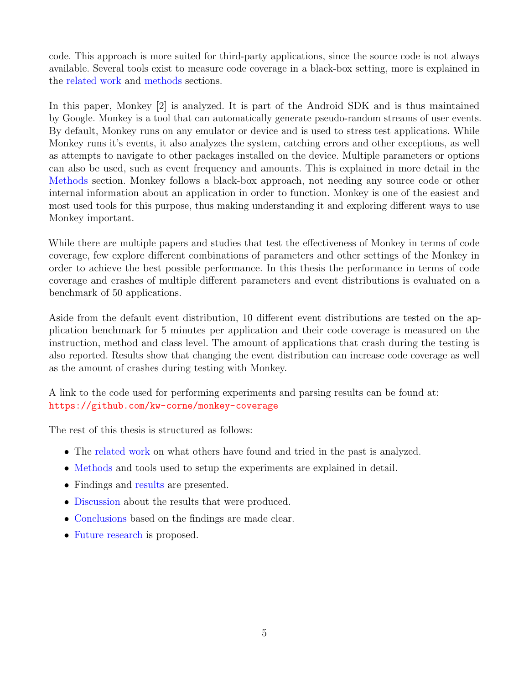code. This approach is more suited for third-party applications, since the source code is not always available. Several tools exist to measure code coverage in a black-box setting, more is explained in the [related work](#page-8-0) and [methods](#page-12-0) sections.

In this paper, Monkey [\[2\]](#page-24-1) is analyzed. It is part of the Android SDK and is thus maintained by Google. Monkey is a tool that can automatically generate pseudo-random streams of user events. By default, Monkey runs on any emulator or device and is used to stress test applications. While Monkey runs it's events, it also analyzes the system, catching errors and other exceptions, as well as attempts to navigate to other packages installed on the device. Multiple parameters or options can also be used, such as event frequency and amounts. This is explained in more detail in the [Methods](#page-12-0) section. Monkey follows a black-box approach, not needing any source code or other internal information about an application in order to function. Monkey is one of the easiest and most used tools for this purpose, thus making understanding it and exploring different ways to use Monkey important.

While there are multiple papers and studies that test the effectiveness of Monkey in terms of code coverage, few explore different combinations of parameters and other settings of the Monkey in order to achieve the best possible performance. In this thesis the performance in terms of code coverage and crashes of multiple different parameters and event distributions is evaluated on a benchmark of 50 applications.

Aside from the default event distribution, 10 different event distributions are tested on the application benchmark for 5 minutes per application and their code coverage is measured on the instruction, method and class level. The amount of applications that crash during the testing is also reported. Results show that changing the event distribution can increase code coverage as well as the amount of crashes during testing with Monkey.

A link to the code used for performing experiments and parsing results can be found at: <https://github.com/kw-corne/monkey-coverage>

The rest of this thesis is structured as follows:

- The [related work](#page-8-0) on what others have found and tried in the past is analyzed.
- [Methods](#page-12-0) and tools used to setup the experiments are explained in detail.
- Findings and [results](#page-18-0) are presented.
- [Discussion](#page-21-0) about the results that were produced.
- [Conclusions](#page-23-0) based on the findings are made clear.
- [Future research](#page-23-0) is proposed.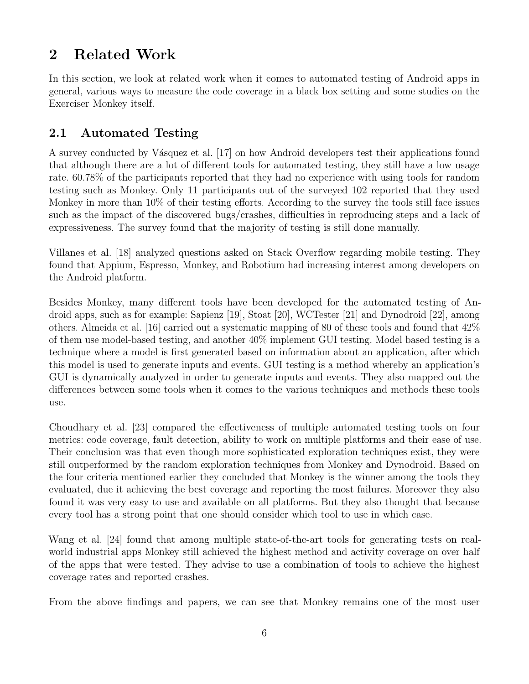# <span id="page-8-0"></span>2 Related Work

In this section, we look at related work when it comes to automated testing of Android apps in general, various ways to measure the code coverage in a black box setting and some studies on the Exerciser Monkey itself.

## <span id="page-8-1"></span>2.1 Automated Testing

A survey conducted by Vásquez et al. [\[17\]](#page-25-1) on how Android developers test their applications found that although there are a lot of different tools for automated testing, they still have a low usage rate. 60.78% of the participants reported that they had no experience with using tools for random testing such as Monkey. Only 11 participants out of the surveyed 102 reported that they used Monkey in more than 10% of their testing efforts. According to the survey the tools still face issues such as the impact of the discovered bugs/crashes, difficulties in reproducing steps and a lack of expressiveness. The survey found that the majority of testing is still done manually.

Villanes et al. [\[18\]](#page-25-2) analyzed questions asked on Stack Overflow regarding mobile testing. They found that Appium, Espresso, Monkey, and Robotium had increasing interest among developers on the Android platform.

Besides Monkey, many different tools have been developed for the automated testing of Android apps, such as for example: Sapienz [\[19\]](#page-25-3), Stoat [\[20\]](#page-25-4), WCTester [\[21\]](#page-25-5) and Dynodroid [\[22\]](#page-25-6), among others. Almeida et al. [\[16\]](#page-25-0) carried out a systematic mapping of 80 of these tools and found that 42% of them use model-based testing, and another 40% implement GUI testing. Model based testing is a technique where a model is first generated based on information about an application, after which this model is used to generate inputs and events. GUI testing is a method whereby an application's GUI is dynamically analyzed in order to generate inputs and events. They also mapped out the differences between some tools when it comes to the various techniques and methods these tools use.

Choudhary et al. [\[23\]](#page-25-7) compared the effectiveness of multiple automated testing tools on four metrics: code coverage, fault detection, ability to work on multiple platforms and their ease of use. Their conclusion was that even though more sophisticated exploration techniques exist, they were still outperformed by the random exploration techniques from Monkey and Dynodroid. Based on the four criteria mentioned earlier they concluded that Monkey is the winner among the tools they evaluated, due it achieving the best coverage and reporting the most failures. Moreover they also found it was very easy to use and available on all platforms. But they also thought that because every tool has a strong point that one should consider which tool to use in which case.

Wang et al. [\[24\]](#page-25-8) found that among multiple state-of-the-art tools for generating tests on realworld industrial apps Monkey still achieved the highest method and activity coverage on over half of the apps that were tested. They advise to use a combination of tools to achieve the highest coverage rates and reported crashes.

From the above findings and papers, we can see that Monkey remains one of the most user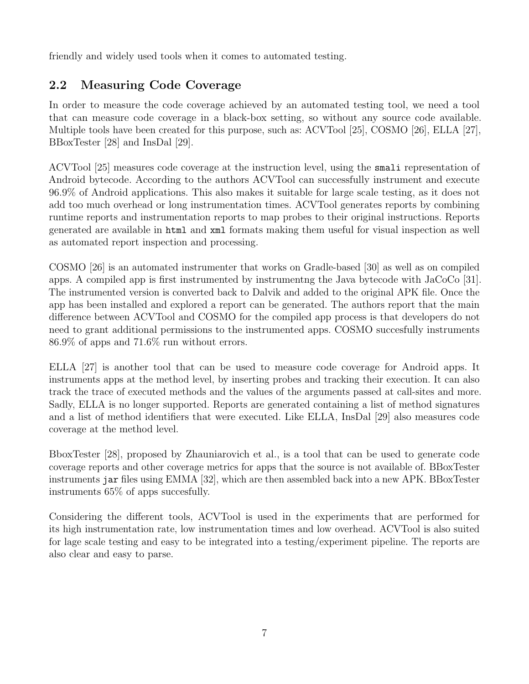friendly and widely used tools when it comes to automated testing.

## <span id="page-9-0"></span>2.2 Measuring Code Coverage

In order to measure the code coverage achieved by an automated testing tool, we need a tool that can measure code coverage in a black-box setting, so without any source code available. Multiple tools have been created for this purpose, such as: ACVTool [\[25\]](#page-25-9), COSMO [\[26\]](#page-26-0), ELLA [\[27\]](#page-26-1), BBoxTester [\[28\]](#page-26-2) and InsDal [\[29\]](#page-26-3).

ACVTool [\[25\]](#page-25-9) measures code coverage at the instruction level, using the smali representation of Android bytecode. According to the authors ACVTool can successfully instrument and execute 96.9% of Android applications. This also makes it suitable for large scale testing, as it does not add too much overhead or long instrumentation times. ACVTool generates reports by combining runtime reports and instrumentation reports to map probes to their original instructions. Reports generated are available in html and xml formats making them useful for visual inspection as well as automated report inspection and processing.

COSMO [\[26\]](#page-26-0) is an automated instrumenter that works on Gradle-based [\[30\]](#page-26-4) as well as on compiled apps. A compiled app is first instrumented by instrumentng the Java bytecode with JaCoCo [\[31\]](#page-26-5). The instrumented version is converted back to Dalvik and added to the original APK file. Once the app has been installed and explored a report can be generated. The authors report that the main difference between ACVTool and COSMO for the compiled app process is that developers do not need to grant additional permissions to the instrumented apps. COSMO succesfully instruments 86.9% of apps and 71.6% run without errors.

ELLA [\[27\]](#page-26-1) is another tool that can be used to measure code coverage for Android apps. It instruments apps at the method level, by inserting probes and tracking their execution. It can also track the trace of executed methods and the values of the arguments passed at call-sites and more. Sadly, ELLA is no longer supported. Reports are generated containing a list of method signatures and a list of method identifiers that were executed. Like ELLA, InsDal [\[29\]](#page-26-3) also measures code coverage at the method level.

BboxTester [\[28\]](#page-26-2), proposed by Zhauniarovich et al., is a tool that can be used to generate code coverage reports and other coverage metrics for apps that the source is not available of. BBoxTester instruments jar files using EMMA [\[32\]](#page-26-6), which are then assembled back into a new APK. BBoxTester instruments 65% of apps succesfully.

Considering the different tools, ACVTool is used in the experiments that are performed for its high instrumentation rate, low instrumentation times and low overhead. ACVTool is also suited for lage scale testing and easy to be integrated into a testing/experiment pipeline. The reports are also clear and easy to parse.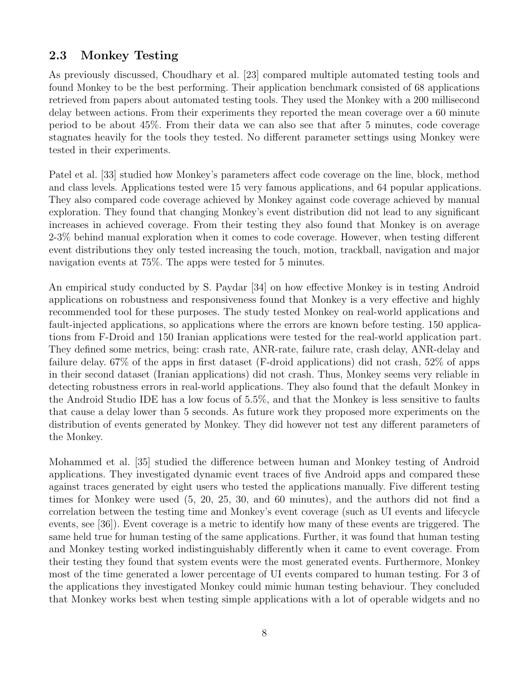### <span id="page-10-0"></span>2.3 Monkey Testing

As previously discussed, Choudhary et al. [\[23\]](#page-25-7) compared multiple automated testing tools and found Monkey to be the best performing. Their application benchmark consisted of 68 applications retrieved from papers about automated testing tools. They used the Monkey with a 200 millisecond delay between actions. From their experiments they reported the mean coverage over a 60 minute period to be about 45%. From their data we can also see that after 5 minutes, code coverage stagnates heavily for the tools they tested. No different parameter settings using Monkey were tested in their experiments.

Patel et al. [\[33\]](#page-26-7) studied how Monkey's parameters affect code coverage on the line, block, method and class levels. Applications tested were 15 very famous applications, and 64 popular applications. They also compared code coverage achieved by Monkey against code coverage achieved by manual exploration. They found that changing Monkey's event distribution did not lead to any significant increases in achieved coverage. From their testing they also found that Monkey is on average 2-3% behind manual exploration when it comes to code coverage. However, when testing different event distributions they only tested increasing the touch, motion, trackball, navigation and major navigation events at 75%. The apps were tested for 5 minutes.

An empirical study conducted by S. Paydar [\[34\]](#page-26-8) on how effective Monkey is in testing Android applications on robustness and responsiveness found that Monkey is a very effective and highly recommended tool for these purposes. The study tested Monkey on real-world applications and fault-injected applications, so applications where the errors are known before testing. 150 applications from F-Droid and 150 Iranian applications were tested for the real-world application part. They defined some metrics, being: crash rate, ANR-rate, failure rate, crash delay, ANR-delay and failure delay. 67% of the apps in first dataset (F-droid applications) did not crash, 52% of apps in their second dataset (Iranian applications) did not crash. Thus, Monkey seems very reliable in detecting robustness errors in real-world applications. They also found that the default Monkey in the Android Studio IDE has a low focus of 5.5%, and that the Monkey is less sensitive to faults that cause a delay lower than 5 seconds. As future work they proposed more experiments on the distribution of events generated by Monkey. They did however not test any different parameters of the Monkey.

Mohammed et al. [\[35\]](#page-26-9) studied the difference between human and Monkey testing of Android applications. They investigated dynamic event traces of five Android apps and compared these against traces generated by eight users who tested the applications manually. Five different testing times for Monkey were used (5, 20, 25, 30, and 60 minutes), and the authors did not find a correlation between the testing time and Monkey's event coverage (such as UI events and lifecycle events, see [\[36\]](#page-26-10)). Event coverage is a metric to identify how many of these events are triggered. The same held true for human testing of the same applications. Further, it was found that human testing and Monkey testing worked indistinguishably differently when it came to event coverage. From their testing they found that system events were the most generated events. Furthermore, Monkey most of the time generated a lower percentage of UI events compared to human testing. For 3 of the applications they investigated Monkey could mimic human testing behaviour. They concluded that Monkey works best when testing simple applications with a lot of operable widgets and no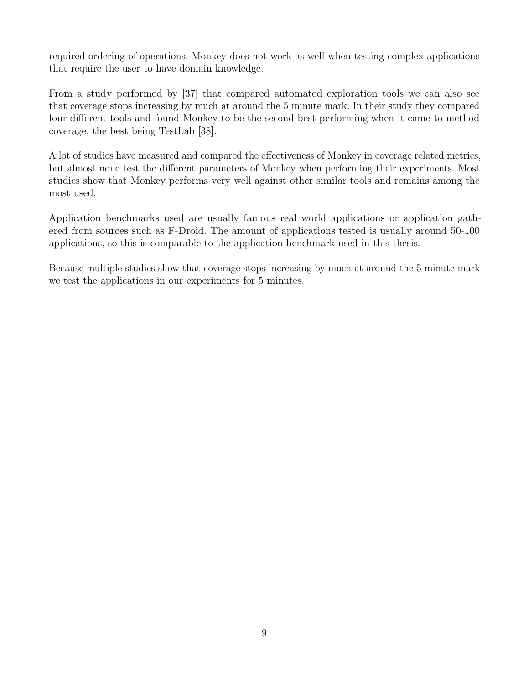required ordering of operations. Monkey does not work as well when testing complex applications that require the user to have domain knowledge.

From a study performed by [\[37\]](#page-26-11) that compared automated exploration tools we can also see that coverage stops increasing by much at around the 5 minute mark. In their study they compared four different tools and found Monkey to be the second best performing when it came to method coverage, the best being TestLab [\[38\]](#page-26-12).

A lot of studies have measured and compared the effectiveness of Monkey in coverage related metrics, but almost none test the different parameters of Monkey when performing their experiments. Most studies show that Monkey performs very well against other similar tools and remains among the most used.

Application benchmarks used are usually famous real world applications or application gathered from sources such as F-Droid. The amount of applications tested is usually around 50-100 applications, so this is comparable to the application benchmark used in this thesis.

Because multiple studies show that coverage stops increasing by much at around the 5 minute mark we test the applications in our experiments for 5 minutes.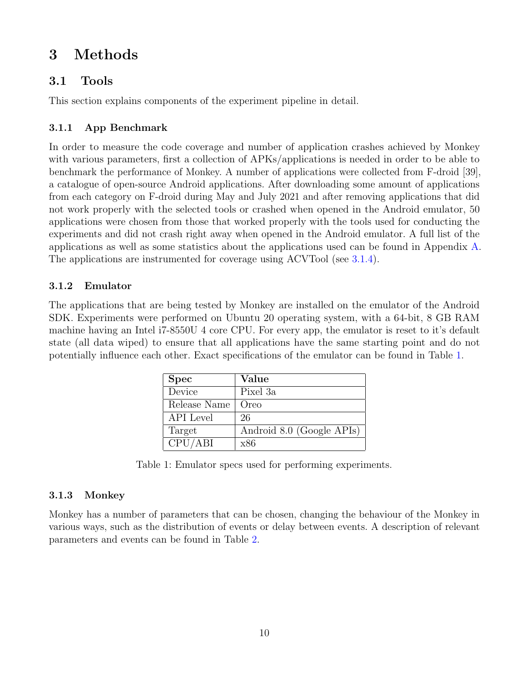# <span id="page-12-0"></span>3 Methods

### <span id="page-12-1"></span>3.1 Tools

This section explains components of the experiment pipeline in detail.

### <span id="page-12-2"></span>3.1.1 App Benchmark

In order to measure the code coverage and number of application crashes achieved by Monkey with various parameters, first a collection of APKs/applications is needed in order to be able to benchmark the performance of Monkey. A number of applications were collected from F-droid [\[39\]](#page-26-13), a catalogue of open-source Android applications. After downloading some amount of applications from each category on F-droid during May and July 2021 and after removing applications that did not work properly with the selected tools or crashed when opened in the Android emulator, 50 applications were chosen from those that worked properly with the tools used for conducting the experiments and did not crash right away when opened in the Android emulator. A full list of the applications as well as some statistics about the applications used can be found in Appendix [A.](#page-28-0) The applications are instrumented for coverage using ACVTool (see [3.1.4\)](#page-13-0).

#### <span id="page-12-3"></span>3.1.2 Emulator

<span id="page-12-5"></span>The applications that are being tested by Monkey are installed on the emulator of the Android SDK. Experiments were performed on Ubuntu 20 operating system, with a 64-bit, 8 GB RAM machine having an Intel i7-8550U 4 core CPU. For every app, the emulator is reset to it's default state (all data wiped) to ensure that all applications have the same starting point and do not potentially influence each other. Exact specifications of the emulator can be found in Table [1.](#page-12-5)

| <b>Spec</b>  | Value                     |
|--------------|---------------------------|
| Device       | Pixel 3a                  |
| Release Name | Oreo                      |
| API Level    | 26                        |
| Target       | Android 8.0 (Google APIs) |
| CPU/ABI      | x86                       |

Table 1: Emulator specs used for performing experiments.

#### <span id="page-12-4"></span>3.1.3 Monkey

Monkey has a number of parameters that can be chosen, changing the behaviour of the Monkey in various ways, such as the distribution of events or delay between events. A description of relevant parameters and events can be found in Table [2.](#page-13-1)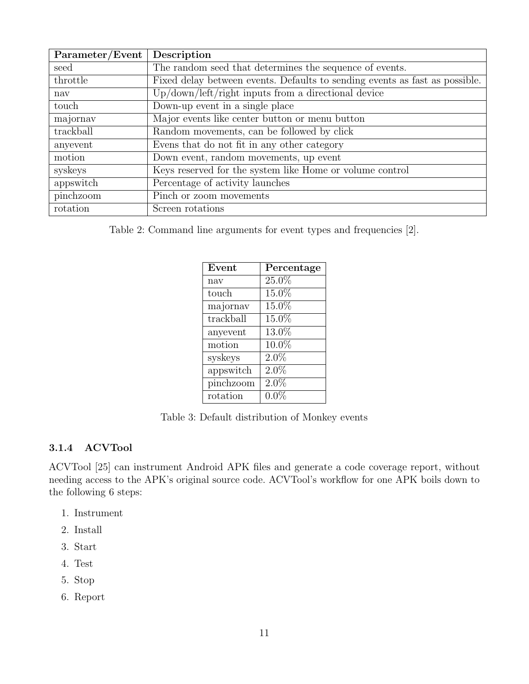<span id="page-13-1"></span>

| Parameter/Event | Description                                                                 |
|-----------------|-----------------------------------------------------------------------------|
| seed            | The random seed that determines the sequence of events.                     |
| throttle        | Fixed delay between events. Defaults to sending events as fast as possible. |
| nav             | $Up/down/left/right$ inputs from a directional device                       |
| touch           | Down-up event in a single place                                             |
| majornav        | Major events like center button or menu button                              |
| trackball       | Random movements, can be followed by click                                  |
| anyevent        | Evens that do not fit in any other category                                 |
| motion          | Down event, random movements, up event                                      |
| syskeys         | Keys reserved for the system like Home or volume control                    |
| appswitch       | Percentage of activity launches                                             |
| pinchzoom       | Pinch or zoom movements                                                     |
| rotation        | Screen rotations                                                            |

Table 2: Command line arguments for event types and frequencies [\[2\]](#page-24-1).

| Event     | Percentage |
|-----------|------------|
| nav       | 25.0%      |
| touch     | $15.0\%$   |
| majornav  | 15.0%      |
| trackball | 15.0%      |
| anyevent  | 13.0%      |
| motion    | 10.0%      |
| syskeys   | $2.0\%$    |
| appswitch | $2.0\%$    |
| pinchzoom | $2.0\%$    |
| rotation  | $0.0\%$    |

Table 3: Default distribution of Monkey events

#### <span id="page-13-0"></span>3.1.4 ACVTool

ACVTool [\[25\]](#page-25-9) can instrument Android APK files and generate a code coverage report, without needing access to the APK's original source code. ACVTool's workflow for one APK boils down to the following 6 steps:

- 1. Instrument
- 2. Install
- 3. Start
- 4. Test
- 5. Stop
- 6. Report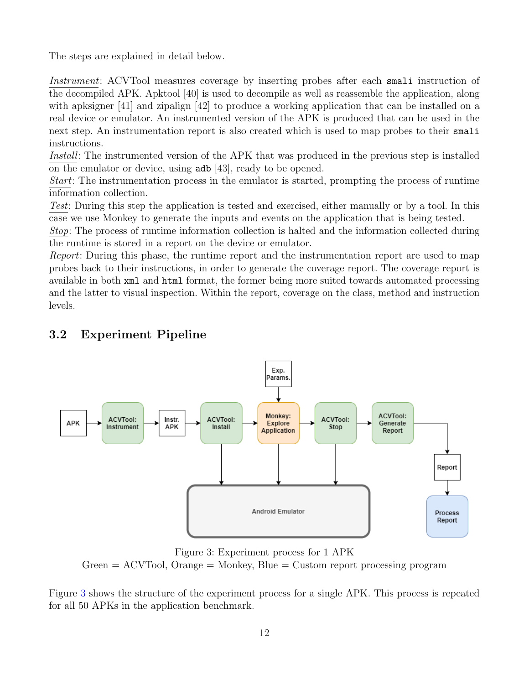The steps are explained in detail below.

Instrument: ACVTool measures coverage by inserting probes after each smali instruction of the decompiled APK. Apktool [\[40\]](#page-26-14) is used to decompile as well as reassemble the application, along with apksigner [\[41\]](#page-27-0) and zipalign [\[42\]](#page-27-1) to produce a working application that can be installed on a real device or emulator. An instrumented version of the APK is produced that can be used in the next step. An instrumentation report is also created which is used to map probes to their smali instructions.

Install: The instrumented version of the APK that was produced in the previous step is installed on the emulator or device, using adb [\[43\]](#page-27-2), ready to be opened.

Start: The instrumentation process in the emulator is started, prompting the process of runtime information collection.

Test: During this step the application is tested and exercised, either manually or by a tool. In this case we use Monkey to generate the inputs and events on the application that is being tested.

Stop: The process of runtime information collection is halted and the information collected during the runtime is stored in a report on the device or emulator.

Report: During this phase, the runtime report and the instrumentation report are used to map probes back to their instructions, in order to generate the coverage report. The coverage report is available in both xml and html format, the former being more suited towards automated processing and the latter to visual inspection. Within the report, coverage on the class, method and instruction levels.

<span id="page-14-1"></span>

### <span id="page-14-0"></span>3.2 Experiment Pipeline

Figure 3: Experiment process for 1 APK  $Green = ACV$ Tool,  $Orange = Monkey$ ,  $Blue = Customer$  processing program

Figure [3](#page-14-1) shows the structure of the experiment process for a single APK. This process is repeated for all 50 APKs in the application benchmark.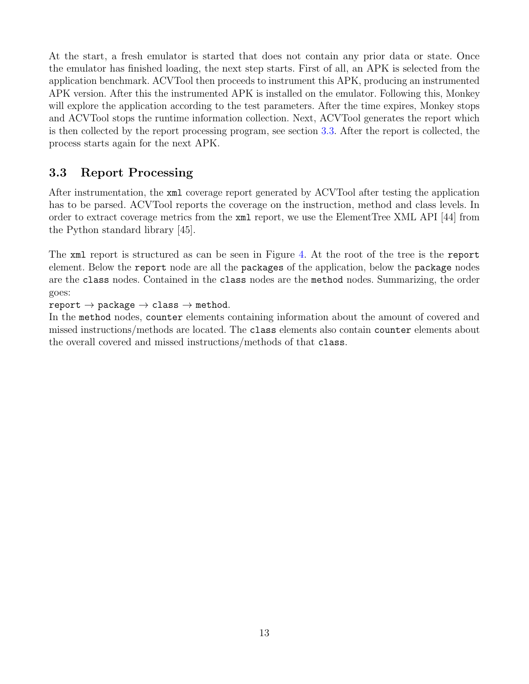At the start, a fresh emulator is started that does not contain any prior data or state. Once the emulator has finished loading, the next step starts. First of all, an APK is selected from the application benchmark. ACVTool then proceeds to instrument this APK, producing an instrumented APK version. After this the instrumented APK is installed on the emulator. Following this, Monkey will explore the application according to the test parameters. After the time expires, Monkey stops and ACVTool stops the runtime information collection. Next, ACVTool generates the report which is then collected by the report processing program, see section [3.3.](#page-15-0) After the report is collected, the process starts again for the next APK.

### <span id="page-15-0"></span>3.3 Report Processing

After instrumentation, the xml coverage report generated by ACVTool after testing the application has to be parsed. ACVTool reports the coverage on the instruction, method and class levels. In order to extract coverage metrics from the xml report, we use the ElementTree XML API [\[44\]](#page-27-3) from the Python standard library [\[45\]](#page-27-4).

The xml report is structured as can be seen in Figure [4.](#page-16-1) At the root of the tree is the report element. Below the report node are all the packages of the application, below the package nodes are the class nodes. Contained in the class nodes are the method nodes. Summarizing, the order goes:

report  $\rightarrow$  package  $\rightarrow$  class  $\rightarrow$  method.

In the method nodes, counter elements containing information about the amount of covered and missed instructions/methods are located. The class elements also contain counter elements about the overall covered and missed instructions/methods of that class.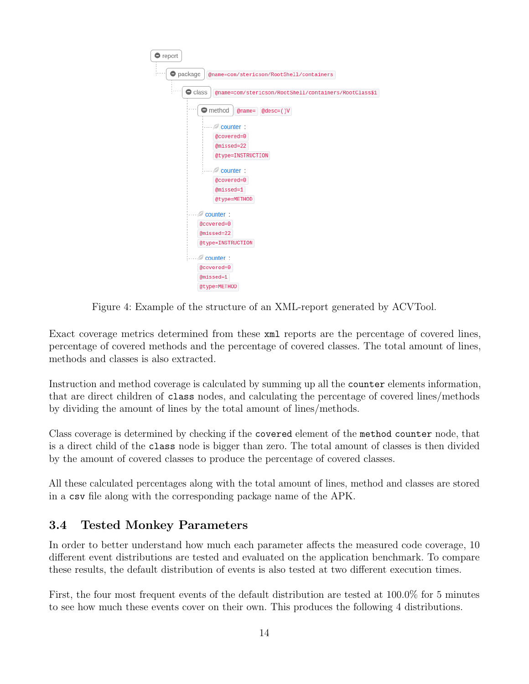<span id="page-16-1"></span>

Figure 4: Example of the structure of an XML-report generated by ACVTool.

Exact coverage metrics determined from these xml reports are the percentage of covered lines, percentage of covered methods and the percentage of covered classes. The total amount of lines, methods and classes is also extracted.

Instruction and method coverage is calculated by summing up all the counter elements information, that are direct children of class nodes, and calculating the percentage of covered lines/methods by dividing the amount of lines by the total amount of lines/methods.

Class coverage is determined by checking if the covered element of the method counter node, that is a direct child of the class node is bigger than zero. The total amount of classes is then divided by the amount of covered classes to produce the percentage of covered classes.

All these calculated percentages along with the total amount of lines, method and classes are stored in a csv file along with the corresponding package name of the APK.

## <span id="page-16-0"></span>3.4 Tested Monkey Parameters

In order to better understand how much each parameter affects the measured code coverage, 10 different event distributions are tested and evaluated on the application benchmark. To compare these results, the default distribution of events is also tested at two different execution times.

First, the four most frequent events of the default distribution are tested at 100.0% for 5 minutes to see how much these events cover on their own. This produces the following 4 distributions.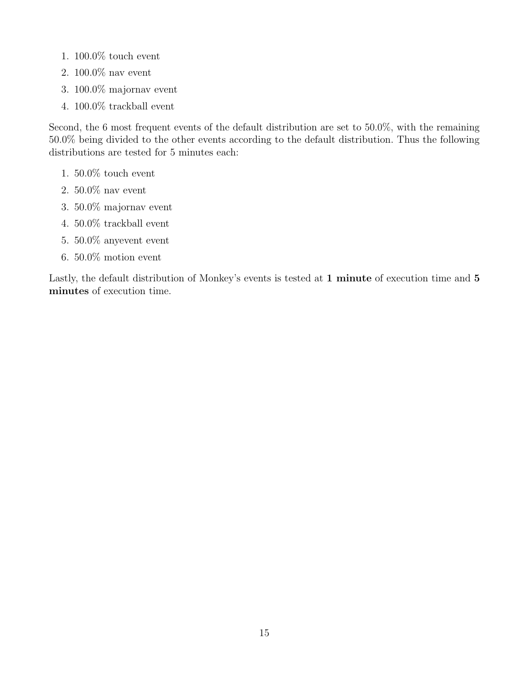- $1.~100.0\%$  touch event
- 2. 100.0% nav event
- 3. 100.0% majornav event
- 4. 100.0% trackball event

Second, the 6 most frequent events of the default distribution are set to 50.0%, with the remaining 50.0% being divided to the other events according to the default distribution. Thus the following distributions are tested for 5 minutes each:

- 1. 50.0% touch event
- 2. 50.0% nav event
- 3. 50.0% majornav event
- 4. 50.0% trackball event
- 5. 50.0% anyevent event
- 6. 50.0% motion event

Lastly, the default distribution of Monkey's events is tested at 1 minute of execution time and 5 minutes of execution time.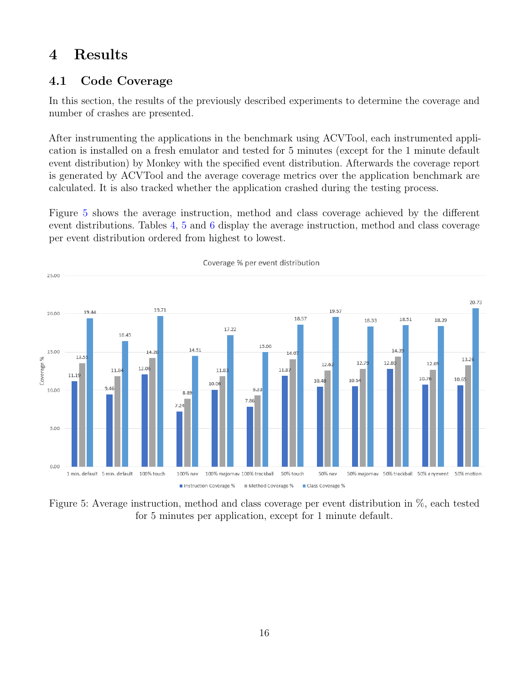## <span id="page-18-0"></span>4 Results

### <span id="page-18-1"></span>4.1 Code Coverage

In this section, the results of the previously described experiments to determine the coverage and number of crashes are presented.

After instrumenting the applications in the benchmark using ACVTool, each instrumented application is installed on a fresh emulator and tested for 5 minutes (except for the 1 minute default event distribution) by Monkey with the specified event distribution. Afterwards the coverage report is generated by ACVTool and the average coverage metrics over the application benchmark are calculated. It is also tracked whether the application crashed during the testing process.

Figure [5](#page-18-2) shows the average instruction, method and class coverage achieved by the different event distributions. Tables [4,](#page-19-1) [5](#page-19-1) and [6](#page-19-2) display the average instruction, method and class coverage per event distribution ordered from highest to lowest.

<span id="page-18-2"></span>

Figure 5: Average instruction, method and class coverage per event distribution in %, each tested for 5 minutes per application, except for 1 minute default.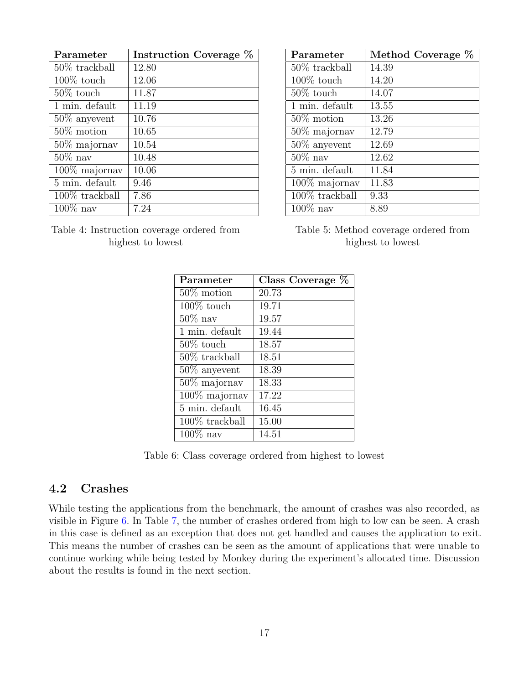<span id="page-19-1"></span>

| Parameter         | Instruction Coverage % |
|-------------------|------------------------|
| $50\%$ trackball  | 12.80                  |
| $100\%$ touch     | 12.06                  |
| $50\%$ touch      | 11.87                  |
| 1 min. default    | 11.19                  |
| $50\%$ any event  | 10.76                  |
| $50\%$ motion     | 10.65                  |
| $50\%$ majornav   | 10.54                  |
| $50\%$ nav        | 10.48                  |
| 100% majornav     | 10.06                  |
| 5 min. default    | 9.46                   |
| $100\%$ trackball | 7.86                   |
| $100\%$ nav       | 7.24                   |

<span id="page-19-2"></span>Table 4: Instruction coverage ordered from highest to lowest

| Parameter                   | Method Coverage % |
|-----------------------------|-------------------|
| $50\%$ trackball            | 14.39             |
| $100\%$ touch               | 14.20             |
| $50\%$ touch                | 14.07             |
| 1 min. default              | 13.55             |
| $50\%$ motion               | 13.26             |
| $50\%$ majornav             | 12.79             |
| $50\%$ any event            | 12.69             |
| $50\%$ nav                  | 12.62             |
| $\overline{5}$ min. default | 11.84             |
| $100\%$ majornav            | 11.83             |
| $100\%$ trackball           | 9.33              |
| $100\%$ nav                 | 8.89              |

Table 5: Method coverage ordered from highest to lowest

| Parameter                   | Class Coverage $\%$ |
|-----------------------------|---------------------|
| $50\%$ motion               | 20.73               |
| $100\%$ touch               | 19.71               |
| $50\%$ nav                  | 19.57               |
| $\overline{1}$ min. default | 19.44               |
| $50\%$ touch                | 18.57               |
| $50\%$ trackball            | 18.51               |
| $50\%$ any event            | 18.39               |
| $50\%$ majornav             | 18.33               |
| $100\%$ majornav            | 17.22               |
| $\overline{5}$ min. default | 16.45               |
| 100% trackball              | 15.00               |
| $100\%$ nav                 | 14.51               |

Table 6: Class coverage ordered from highest to lowest

#### <span id="page-19-0"></span>4.2 Crashes

While testing the applications from the benchmark, the amount of crashes was also recorded, as visible in Figure [6.](#page-20-0) In Table [7,](#page-20-1) the number of crashes ordered from high to low can be seen. A crash in this case is defined as an exception that does not get handled and causes the application to exit. This means the number of crashes can be seen as the amount of applications that were unable to continue working while being tested by Monkey during the experiment's allocated time. Discussion about the results is found in the next section.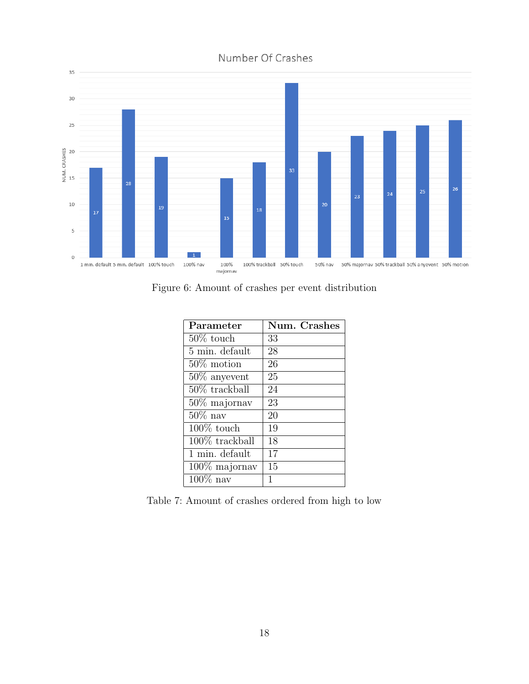<span id="page-20-0"></span>

Number Of Crashes

<span id="page-20-1"></span>Figure 6: Amount of crashes per event distribution

| Parameter        | Num. Crashes |
|------------------|--------------|
| $50\%$ touch     | 33           |
| 5 min. default   | 28           |
| $50\%$ motion    | 26           |
| $50\%$ any event | 25           |
| $50\%$ trackball | 24           |
| $50\%$ majornav  | 23           |
| $50\%$ nav       | 20           |
| $100\%$ touch    | 19           |
| 100% trackball   | 18           |
| 1 min. default   | 17           |
| $100\%$ majornav | 15           |
| $100\%$ nav      | 1            |

Table 7: Amount of crashes ordered from high to low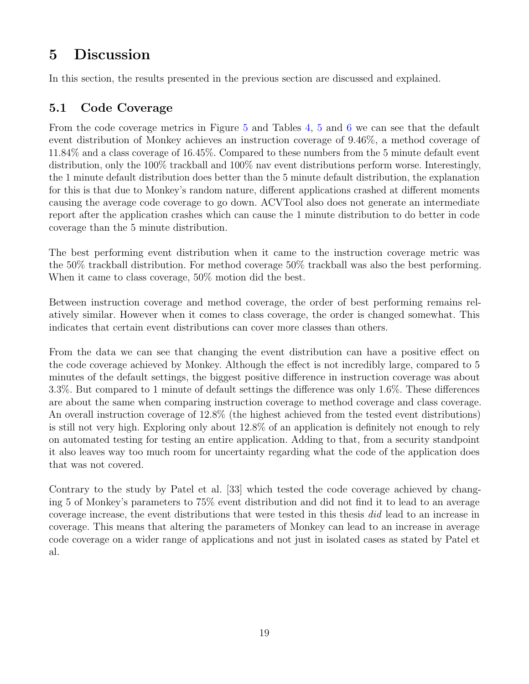# <span id="page-21-0"></span>5 Discussion

In this section, the results presented in the previous section are discussed and explained.

## <span id="page-21-1"></span>5.1 Code Coverage

From the code coverage metrics in Figure [5](#page-18-2) and Tables [4,](#page-19-1) [5](#page-19-1) and [6](#page-19-2) we can see that the default event distribution of Monkey achieves an instruction coverage of 9.46%, a method coverage of 11.84% and a class coverage of 16.45%. Compared to these numbers from the 5 minute default event distribution, only the 100% trackball and 100% nav event distributions perform worse. Interestingly, the 1 minute default distribution does better than the 5 minute default distribution, the explanation for this is that due to Monkey's random nature, different applications crashed at different moments causing the average code coverage to go down. ACVTool also does not generate an intermediate report after the application crashes which can cause the 1 minute distribution to do better in code coverage than the 5 minute distribution.

The best performing event distribution when it came to the instruction coverage metric was the 50% trackball distribution. For method coverage 50% trackball was also the best performing. When it came to class coverage, 50% motion did the best.

Between instruction coverage and method coverage, the order of best performing remains relatively similar. However when it comes to class coverage, the order is changed somewhat. This indicates that certain event distributions can cover more classes than others.

From the data we can see that changing the event distribution can have a positive effect on the code coverage achieved by Monkey. Although the effect is not incredibly large, compared to 5 minutes of the default settings, the biggest positive difference in instruction coverage was about 3.3%. But compared to 1 minute of default settings the difference was only 1.6%. These differences are about the same when comparing instruction coverage to method coverage and class coverage. An overall instruction coverage of 12.8% (the highest achieved from the tested event distributions) is still not very high. Exploring only about 12.8% of an application is definitely not enough to rely on automated testing for testing an entire application. Adding to that, from a security standpoint it also leaves way too much room for uncertainty regarding what the code of the application does that was not covered.

Contrary to the study by Patel et al. [\[33\]](#page-26-7) which tested the code coverage achieved by changing 5 of Monkey's parameters to 75% event distribution and did not find it to lead to an average coverage increase, the event distributions that were tested in this thesis did lead to an increase in coverage. This means that altering the parameters of Monkey can lead to an increase in average code coverage on a wider range of applications and not just in isolated cases as stated by Patel et al.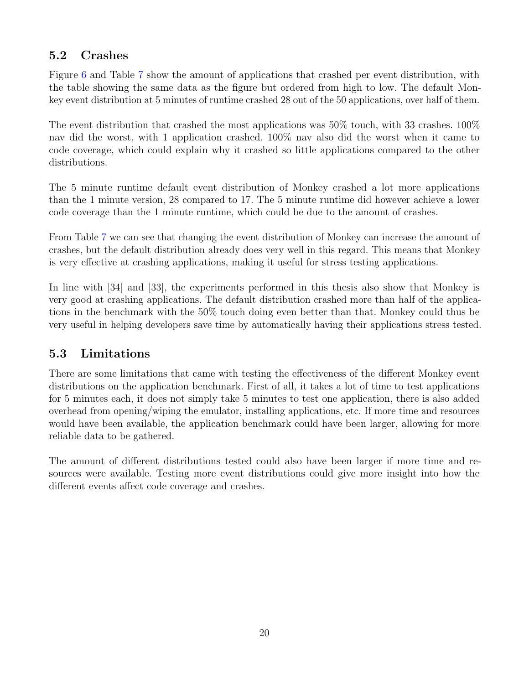## <span id="page-22-0"></span>5.2 Crashes

Figure [6](#page-20-0) and Table [7](#page-20-1) show the amount of applications that crashed per event distribution, with the table showing the same data as the figure but ordered from high to low. The default Monkey event distribution at 5 minutes of runtime crashed 28 out of the 50 applications, over half of them.

The event distribution that crashed the most applications was  $50\%$  touch, with 33 crashes.  $100\%$ nav did the worst, with 1 application crashed. 100% nav also did the worst when it came to code coverage, which could explain why it crashed so little applications compared to the other distributions.

The 5 minute runtime default event distribution of Monkey crashed a lot more applications than the 1 minute version, 28 compared to 17. The 5 minute runtime did however achieve a lower code coverage than the 1 minute runtime, which could be due to the amount of crashes.

From Table [7](#page-20-1) we can see that changing the event distribution of Monkey can increase the amount of crashes, but the default distribution already does very well in this regard. This means that Monkey is very effective at crashing applications, making it useful for stress testing applications.

In line with [\[34\]](#page-26-8) and [\[33\]](#page-26-7), the experiments performed in this thesis also show that Monkey is very good at crashing applications. The default distribution crashed more than half of the applications in the benchmark with the 50% touch doing even better than that. Monkey could thus be very useful in helping developers save time by automatically having their applications stress tested.

## <span id="page-22-1"></span>5.3 Limitations

There are some limitations that came with testing the effectiveness of the different Monkey event distributions on the application benchmark. First of all, it takes a lot of time to test applications for 5 minutes each, it does not simply take 5 minutes to test one application, there is also added overhead from opening/wiping the emulator, installing applications, etc. If more time and resources would have been available, the application benchmark could have been larger, allowing for more reliable data to be gathered.

The amount of different distributions tested could also have been larger if more time and resources were available. Testing more event distributions could give more insight into how the different events affect code coverage and crashes.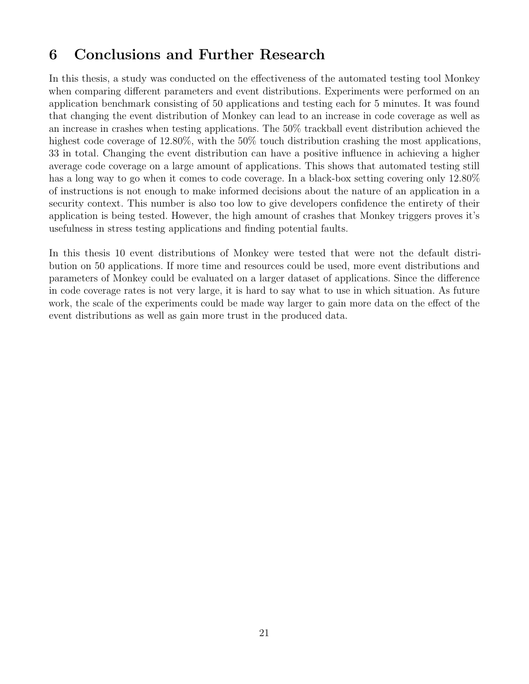# <span id="page-23-0"></span>6 Conclusions and Further Research

In this thesis, a study was conducted on the effectiveness of the automated testing tool Monkey when comparing different parameters and event distributions. Experiments were performed on an application benchmark consisting of 50 applications and testing each for 5 minutes. It was found that changing the event distribution of Monkey can lead to an increase in code coverage as well as an increase in crashes when testing applications. The 50% trackball event distribution achieved the highest code coverage of 12.80%, with the 50% touch distribution crashing the most applications, 33 in total. Changing the event distribution can have a positive influence in achieving a higher average code coverage on a large amount of applications. This shows that automated testing still has a long way to go when it comes to code coverage. In a black-box setting covering only 12.80% of instructions is not enough to make informed decisions about the nature of an application in a security context. This number is also too low to give developers confidence the entirety of their application is being tested. However, the high amount of crashes that Monkey triggers proves it's usefulness in stress testing applications and finding potential faults.

In this thesis 10 event distributions of Monkey were tested that were not the default distribution on 50 applications. If more time and resources could be used, more event distributions and parameters of Monkey could be evaluated on a larger dataset of applications. Since the difference in code coverage rates is not very large, it is hard to say what to use in which situation. As future work, the scale of the experiments could be made way larger to gain more data on the effect of the event distributions as well as gain more trust in the produced data.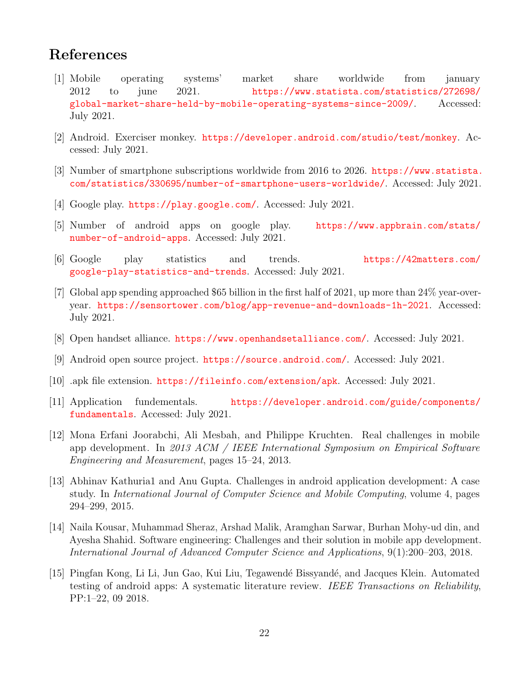## <span id="page-24-2"></span>References

- <span id="page-24-0"></span>[1] Mobile operating systems' market share worldwide from january 2012 to june 2021. [https://www.statista.com/statistics/272698/](https://www.statista.com/statistics/272698/global-market-share-held-by-mobile-operating-systems-since-2009/) [global-market-share-held-by-mobile-operating-systems-since-2009/](https://www.statista.com/statistics/272698/global-market-share-held-by-mobile-operating-systems-since-2009/). Accessed: July 2021.
- <span id="page-24-1"></span>[2] Android. Exerciser monkey. <https://developer.android.com/studio/test/monkey>. Accessed: July 2021.
- <span id="page-24-3"></span>[3] Number of smartphone subscriptions worldwide from 2016 to 2026. [https://www.statista.](https://www.statista.com/statistics/330695/number-of-smartphone-users-worldwide/) [com/statistics/330695/number-of-smartphone-users-worldwide/](https://www.statista.com/statistics/330695/number-of-smartphone-users-worldwide/). Accessed: July 2021.
- <span id="page-24-4"></span>[4] Google play. <https://play.google.com/>. Accessed: July 2021.
- <span id="page-24-5"></span>[5] Number of android apps on google play. [https://www.appbrain.com/stats/](https://www.appbrain.com/stats/number-of-android-apps) [number-of-android-apps](https://www.appbrain.com/stats/number-of-android-apps). Accessed: July 2021.
- <span id="page-24-6"></span>[6] Google play statistics and trends. [https://42matters.com/](https://42matters.com/google-play-statistics-and-trends) [google-play-statistics-and-trends](https://42matters.com/google-play-statistics-and-trends). Accessed: July 2021.
- <span id="page-24-7"></span>[7] Global app spending approached \$65 billion in the first half of 2021, up more than 24% year-overyear. <https://sensortower.com/blog/app-revenue-and-downloads-1h-2021>. Accessed: July 2021.
- <span id="page-24-8"></span>[8] Open handset alliance. <https://www.openhandsetalliance.com/>. Accessed: July 2021.
- <span id="page-24-9"></span>[9] Android open source project. <https://source.android.com/>. Accessed: July 2021.
- <span id="page-24-10"></span>[10] .apk file extension. <https://fileinfo.com/extension/apk>. Accessed: July 2021.
- <span id="page-24-11"></span>[11] Application fundementals. [https://developer.android.com/guide/components/](https://developer.android.com/guide/components/fundamentals) [fundamentals](https://developer.android.com/guide/components/fundamentals). Accessed: July 2021.
- <span id="page-24-12"></span>[12] Mona Erfani Joorabchi, Ali Mesbah, and Philippe Kruchten. Real challenges in mobile app development. In 2013 ACM / IEEE International Symposium on Empirical Software Engineering and Measurement, pages 15–24, 2013.
- <span id="page-24-13"></span>[13] Abhinav Kathuria1 and Anu Gupta. Challenges in android application development: A case study. In International Journal of Computer Science and Mobile Computing, volume 4, pages 294–299, 2015.
- <span id="page-24-14"></span>[14] Naila Kousar, Muhammad Sheraz, Arshad Malik, Aramghan Sarwar, Burhan Mohy-ud din, and Ayesha Shahid. Software engineering: Challenges and their solution in mobile app development. International Journal of Advanced Computer Science and Applications, 9(1):200–203, 2018.
- <span id="page-24-15"></span>[15] Pingfan Kong, Li Li, Jun Gao, Kui Liu, Tegawend´e Bissyand´e, and Jacques Klein. Automated testing of android apps: A systematic literature review. IEEE Transactions on Reliability, PP:1–22, 09 2018.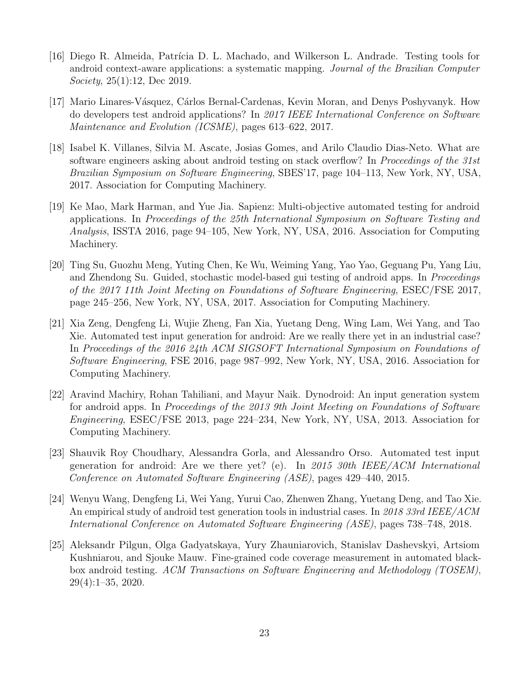- <span id="page-25-0"></span>[16] Diego R. Almeida, Patrícia D. L. Machado, and Wilkerson L. Andrade. Testing tools for android context-aware applications: a systematic mapping. Journal of the Brazilian Computer Society, 25(1):12, Dec 2019.
- <span id="page-25-1"></span>[17] Mario Linares-V´asquez, C´arlos Bernal-Cardenas, Kevin Moran, and Denys Poshyvanyk. How do developers test android applications? In 2017 IEEE International Conference on Software Maintenance and Evolution (ICSME), pages 613–622, 2017.
- <span id="page-25-2"></span>[18] Isabel K. Villanes, Silvia M. Ascate, Josias Gomes, and Arilo Claudio Dias-Neto. What are software engineers asking about android testing on stack overflow? In Proceedings of the 31st Brazilian Symposium on Software Engineering, SBES'17, page 104–113, New York, NY, USA, 2017. Association for Computing Machinery.
- <span id="page-25-3"></span>[19] Ke Mao, Mark Harman, and Yue Jia. Sapienz: Multi-objective automated testing for android applications. In Proceedings of the 25th International Symposium on Software Testing and Analysis, ISSTA 2016, page 94–105, New York, NY, USA, 2016. Association for Computing Machinery.
- <span id="page-25-4"></span>[20] Ting Su, Guozhu Meng, Yuting Chen, Ke Wu, Weiming Yang, Yao Yao, Geguang Pu, Yang Liu, and Zhendong Su. Guided, stochastic model-based gui testing of android apps. In Proceedings of the 2017 11th Joint Meeting on Foundations of Software Engineering, ESEC/FSE 2017, page 245–256, New York, NY, USA, 2017. Association for Computing Machinery.
- <span id="page-25-5"></span>[21] Xia Zeng, Dengfeng Li, Wujie Zheng, Fan Xia, Yuetang Deng, Wing Lam, Wei Yang, and Tao Xie. Automated test input generation for android: Are we really there yet in an industrial case? In Proceedings of the 2016 24th ACM SIGSOFT International Symposium on Foundations of Software Engineering, FSE 2016, page 987–992, New York, NY, USA, 2016. Association for Computing Machinery.
- <span id="page-25-6"></span>[22] Aravind Machiry, Rohan Tahiliani, and Mayur Naik. Dynodroid: An input generation system for android apps. In Proceedings of the 2013 9th Joint Meeting on Foundations of Software Engineering, ESEC/FSE 2013, page 224–234, New York, NY, USA, 2013. Association for Computing Machinery.
- <span id="page-25-7"></span>[23] Shauvik Roy Choudhary, Alessandra Gorla, and Alessandro Orso. Automated test input generation for android: Are we there yet? (e). In 2015 30th IEEE/ACM International Conference on Automated Software Engineering (ASE), pages 429–440, 2015.
- <span id="page-25-8"></span>[24] Wenyu Wang, Dengfeng Li, Wei Yang, Yurui Cao, Zhenwen Zhang, Yuetang Deng, and Tao Xie. An empirical study of android test generation tools in industrial cases. In 2018 33rd IEEE/ACM International Conference on Automated Software Engineering (ASE), pages 738–748, 2018.
- <span id="page-25-9"></span>[25] Aleksandr Pilgun, Olga Gadyatskaya, Yury Zhauniarovich, Stanislav Dashevskyi, Artsiom Kushniarou, and Sjouke Mauw. Fine-grained code coverage measurement in automated blackbox android testing. ACM Transactions on Software Engineering and Methodology (TOSEM), 29(4):1–35, 2020.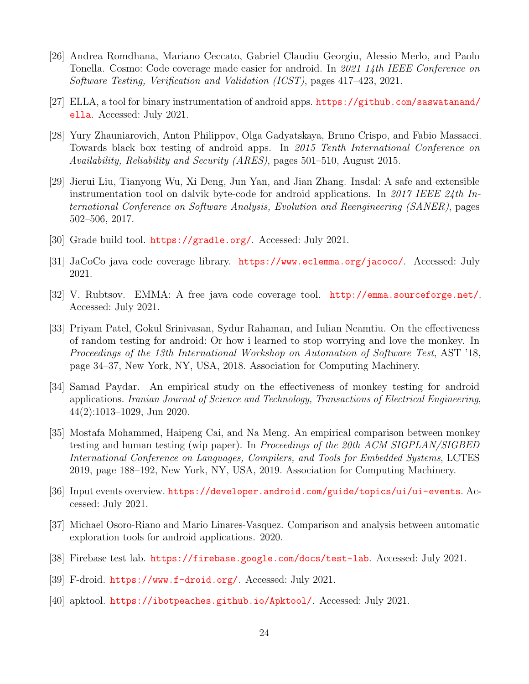- <span id="page-26-0"></span>[26] Andrea Romdhana, Mariano Ceccato, Gabriel Claudiu Georgiu, Alessio Merlo, and Paolo Tonella. Cosmo: Code coverage made easier for android. In 2021 14th IEEE Conference on Software Testing, Verification and Validation (ICST), pages 417–423, 2021.
- <span id="page-26-1"></span>[27] ELLA, a tool for binary instrumentation of android apps. [https://github.com/saswatanand/](https://github.com/saswatanand/ella) [ella](https://github.com/saswatanand/ella). Accessed: July 2021.
- <span id="page-26-2"></span>[28] Yury Zhauniarovich, Anton Philippov, Olga Gadyatskaya, Bruno Crispo, and Fabio Massacci. Towards black box testing of android apps. In 2015 Tenth International Conference on Availability, Reliability and Security (ARES), pages 501–510, August 2015.
- <span id="page-26-3"></span>[29] Jierui Liu, Tianyong Wu, Xi Deng, Jun Yan, and Jian Zhang. Insdal: A safe and extensible instrumentation tool on dalvik byte-code for android applications. In 2017 IEEE 24th International Conference on Software Analysis, Evolution and Reengineering (SANER), pages 502–506, 2017.
- <span id="page-26-4"></span>[30] Grade build tool. <https://gradle.org/>. Accessed: July 2021.
- <span id="page-26-5"></span>[31] JaCoCo java code coverage library. <https://www.eclemma.org/jacoco/>. Accessed: July 2021.
- <span id="page-26-6"></span>[32] V. Rubtsov. EMMA: A free java code coverage tool. <http://emma.sourceforge.net/>. Accessed: July 2021.
- <span id="page-26-7"></span>[33] Priyam Patel, Gokul Srinivasan, Sydur Rahaman, and Iulian Neamtiu. On the effectiveness of random testing for android: Or how i learned to stop worrying and love the monkey. In Proceedings of the 13th International Workshop on Automation of Software Test, AST '18, page 34–37, New York, NY, USA, 2018. Association for Computing Machinery.
- <span id="page-26-8"></span>[34] Samad Paydar. An empirical study on the effectiveness of monkey testing for android applications. Iranian Journal of Science and Technology, Transactions of Electrical Engineering, 44(2):1013–1029, Jun 2020.
- <span id="page-26-9"></span>[35] Mostafa Mohammed, Haipeng Cai, and Na Meng. An empirical comparison between monkey testing and human testing (wip paper). In Proceedings of the 20th ACM SIGPLAN/SIGBED International Conference on Languages, Compilers, and Tools for Embedded Systems, LCTES 2019, page 188–192, New York, NY, USA, 2019. Association for Computing Machinery.
- <span id="page-26-10"></span>[36] Input events overview. <https://developer.android.com/guide/topics/ui/ui-events>. Accessed: July 2021.
- <span id="page-26-11"></span>[37] Michael Osoro-Riano and Mario Linares-Vasquez. Comparison and analysis between automatic exploration tools for android applications. 2020.
- <span id="page-26-12"></span>[38] Firebase test lab. <https://firebase.google.com/docs/test-lab>. Accessed: July 2021.
- <span id="page-26-13"></span>[39] F-droid. <https://www.f-droid.org/>. Accessed: July 2021.
- <span id="page-26-14"></span>[40] apktool. <https://ibotpeaches.github.io/Apktool/>. Accessed: July 2021.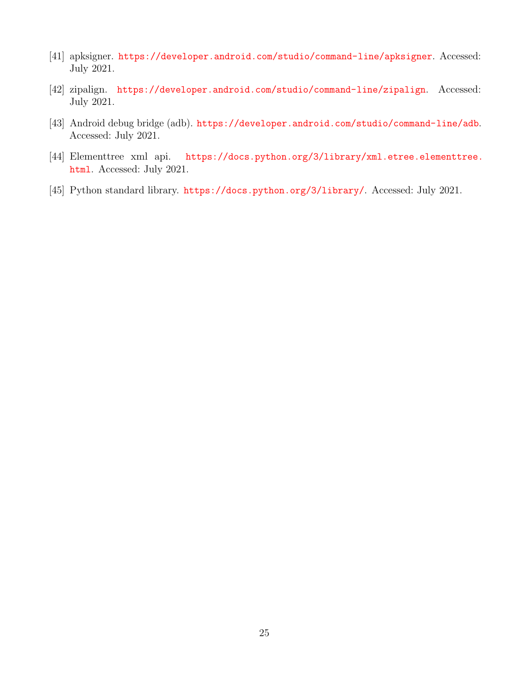- <span id="page-27-0"></span>[41] apksigner. <https://developer.android.com/studio/command-line/apksigner>. Accessed: July 2021.
- <span id="page-27-1"></span>[42] zipalign. <https://developer.android.com/studio/command-line/zipalign>. Accessed: July 2021.
- <span id="page-27-2"></span>[43] Android debug bridge (adb). <https://developer.android.com/studio/command-line/adb>. Accessed: July 2021.
- <span id="page-27-3"></span>[44] Elementtree xml api. [https://docs.python.org/3/library/xml.etree.elementtree.](https://docs.python.org/3/library/xml.etree.elementtree.html) [html](https://docs.python.org/3/library/xml.etree.elementtree.html). Accessed: July 2021.
- <span id="page-27-4"></span>[45] Python standard library. <https://docs.python.org/3/library/>. Accessed: July 2021.